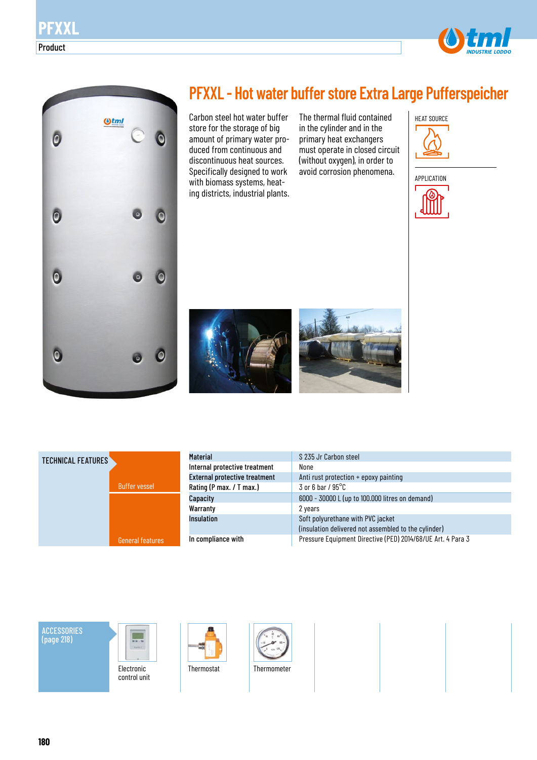



## **PFXXL - Hot water buffer store Extra Large Pufferspeicher**

Carbon steel hot water buffer store for the storage of big amount of primary water produced from continuous and discontinuous heat sources. Specifically designed to work with biomass systems, heating districts, industrial plants. The thermal fluid contained in the cylinder and in the primary heat exchangers must operate in closed circuit (without oxygen), in order to avoid corrosion phenomena.



HEAT SOURCE





| <b>Material</b>                      | S 235 Jr Carbon steel                                       |
|--------------------------------------|-------------------------------------------------------------|
| Internal protective treatment        | None                                                        |
| <b>External protective treatment</b> | Anti rust protection + epoxy painting                       |
| Rating (P max. / T max.)             | $3$ or 6 bar / $95^{\circ}$ C                               |
| Capacity                             | 6000 - 30000 L (up to 100.000 litres on demand)             |
| Warranty                             | 2 years                                                     |
| <b>Insulation</b>                    | Soft polyurethane with PVC jacket                           |
|                                      | (insulation delivered not assembled to the cylinder)        |
| In compliance with                   | Pressure Equipment Directive (PED) 2014/68/UE Art. 4 Para 3 |

## ACCESSORIES (page 218)